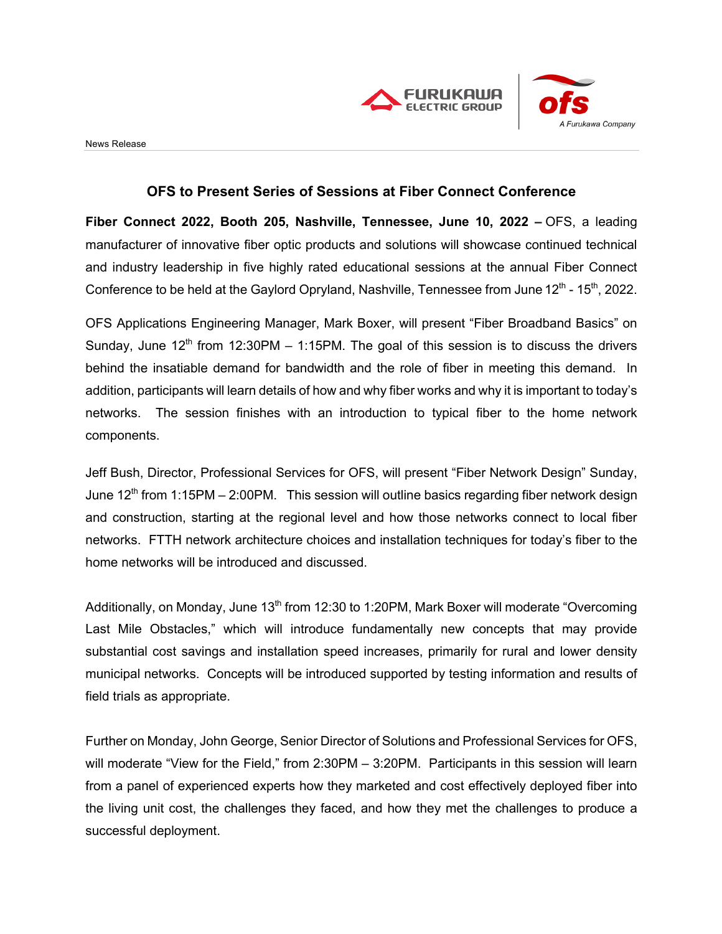



## **OFS to Present Series of Sessions at Fiber Connect Conference**

**Fiber Connect 2022, Booth 205, Nashville, Tennessee, June 10, 2022 –** OFS, a leading manufacturer of innovative fiber optic products and solutions will showcase continued technical and industry leadership in five highly rated educational sessions at the annual Fiber Connect Conference to be held at the Gaylord Opryland, Nashville, Tennessee from June  $12<sup>th</sup>$  - 15<sup>th</sup>, 2022.

OFS Applications Engineering Manager, Mark Boxer, will present "Fiber Broadband Basics" on Sunday, June  $12<sup>th</sup>$  from 12:30PM – 1:15PM. The goal of this session is to discuss the drivers behind the insatiable demand for bandwidth and the role of fiber in meeting this demand. In addition, participants will learn details of how and why fiber works and why it is important to today's networks. The session finishes with an introduction to typical fiber to the home network components.

Jeff Bush, Director, Professional Services for OFS, will present "Fiber Network Design" Sunday, June  $12<sup>th</sup>$  from 1:15PM – 2:00PM. This session will outline basics regarding fiber network design and construction, starting at the regional level and how those networks connect to local fiber networks. FTTH network architecture choices and installation techniques for today's fiber to the home networks will be introduced and discussed.

Additionally, on Monday, June 13<sup>th</sup> from 12:30 to 1:20PM, Mark Boxer will moderate "Overcoming Last Mile Obstacles," which will introduce fundamentally new concepts that may provide substantial cost savings and installation speed increases, primarily for rural and lower density municipal networks. Concepts will be introduced supported by testing information and results of field trials as appropriate.

Further on Monday, John George, Senior Director of Solutions and Professional Services for OFS, will moderate "View for the Field," from 2:30PM – 3:20PM. Participants in this session will learn from a panel of experienced experts how they marketed and cost effectively deployed fiber into the living unit cost, the challenges they faced, and how they met the challenges to produce a successful deployment.